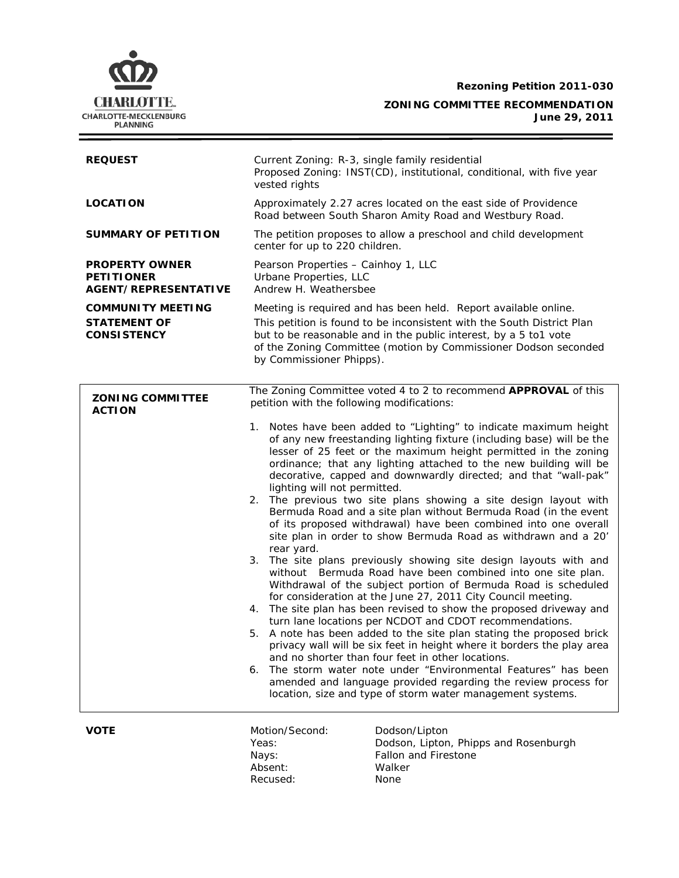**Rezoning Petition 2011-030** 



**ZONING COMMITTEE RECOMMENDATION June 29, 2011**

| <b>REQUEST</b>                                                            | Current Zoning: R-3, single family residential<br>Proposed Zoning: INST(CD), institutional, conditional, with five year<br>vested rights                                                                                                                                                                                                                                                                                                                                                                                                                                                                                                                                                                                                                                                                                |
|---------------------------------------------------------------------------|-------------------------------------------------------------------------------------------------------------------------------------------------------------------------------------------------------------------------------------------------------------------------------------------------------------------------------------------------------------------------------------------------------------------------------------------------------------------------------------------------------------------------------------------------------------------------------------------------------------------------------------------------------------------------------------------------------------------------------------------------------------------------------------------------------------------------|
| <b>LOCATION</b>                                                           | Approximately 2.27 acres located on the east side of Providence<br>Road between South Sharon Amity Road and Westbury Road.                                                                                                                                                                                                                                                                                                                                                                                                                                                                                                                                                                                                                                                                                              |
| <b>SUMMARY OF PETITION</b>                                                | The petition proposes to allow a preschool and child development<br>center for up to 220 children.                                                                                                                                                                                                                                                                                                                                                                                                                                                                                                                                                                                                                                                                                                                      |
| <b>PROPERTY OWNER</b><br><b>PETITIONER</b><br><b>AGENT/REPRESENTATIVE</b> | Pearson Properties - Cainhoy 1, LLC<br>Urbane Properties, LLC<br>Andrew H. Weathersbee                                                                                                                                                                                                                                                                                                                                                                                                                                                                                                                                                                                                                                                                                                                                  |
| <b>COMMUNITY MEETING</b>                                                  | Meeting is required and has been held. Report available online.                                                                                                                                                                                                                                                                                                                                                                                                                                                                                                                                                                                                                                                                                                                                                         |
| <b>STATEMENT OF</b><br><b>CONSISTENCY</b>                                 | This petition is found to be inconsistent with the South District Plan<br>but to be reasonable and in the public interest, by a 5 to1 vote<br>of the Zoning Committee (motion by Commissioner Dodson seconded<br>by Commissioner Phipps).                                                                                                                                                                                                                                                                                                                                                                                                                                                                                                                                                                               |
| <b>ZONING COMMITTEE</b><br><b>ACTION</b>                                  | The Zoning Committee voted 4 to 2 to recommend APPROVAL of this<br>petition with the following modifications:                                                                                                                                                                                                                                                                                                                                                                                                                                                                                                                                                                                                                                                                                                           |
|                                                                           | Notes have been added to "Lighting" to indicate maximum height<br>1.<br>of any new freestanding lighting fixture (including base) will be the<br>lesser of 25 feet or the maximum height permitted in the zoning<br>ordinance; that any lighting attached to the new building will be<br>decorative, capped and downwardly directed; and that "wall-pak"<br>lighting will not permitted.<br>2. The previous two site plans showing a site design layout with<br>Bermuda Road and a site plan without Bermuda Road (in the event<br>of its proposed withdrawal) have been combined into one overall<br>site plan in order to show Bermuda Road as withdrawn and a 20'<br>rear yard.                                                                                                                                      |
|                                                                           | 3.<br>The site plans previously showing site design layouts with and<br>without Bermuda Road have been combined into one site plan.<br>Withdrawal of the subject portion of Bermuda Road is scheduled<br>for consideration at the June 27, 2011 City Council meeting.<br>The site plan has been revised to show the proposed driveway and<br>4.<br>turn lane locations per NCDOT and CDOT recommendations.<br>A note has been added to the site plan stating the proposed brick<br>5.<br>privacy wall will be six feet in height where it borders the play area<br>and no shorter than four feet in other locations.<br>6. The storm water note under "Environmental Features" has been<br>amended and language provided regarding the review process for<br>location, size and type of storm water management systems. |
| <b>VOTE</b>                                                               | Motion/Second:<br>Dodson/Lipton<br>Yeas:<br>Dodson, Lipton, Phipps and Rosenburgh<br><b>Fallon and Firestone</b><br>Nays:<br>Absent:<br>Walker                                                                                                                                                                                                                                                                                                                                                                                                                                                                                                                                                                                                                                                                          |

Recused: None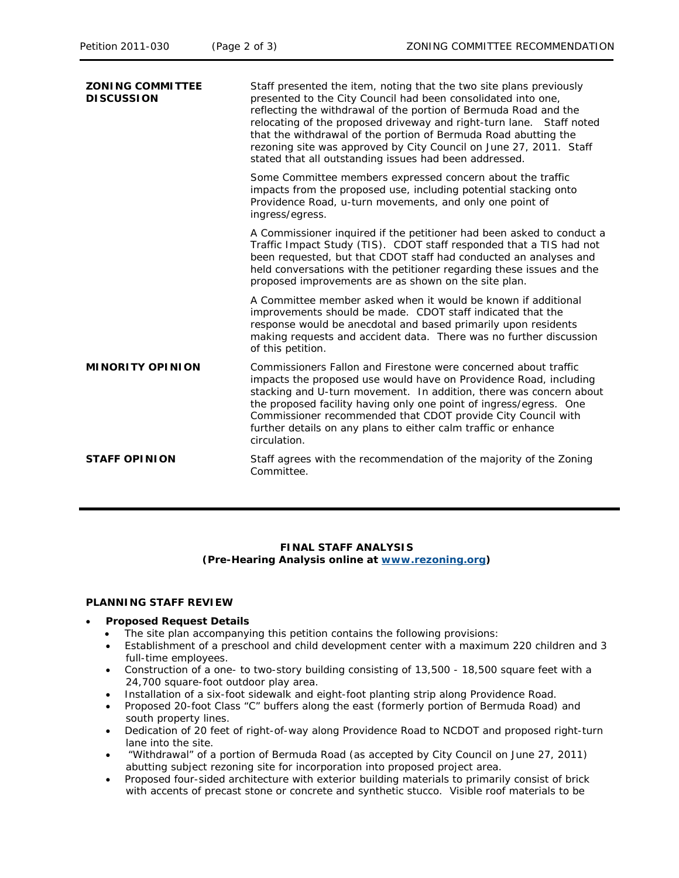Staff presented the item, noting that the two site plans previously

**ZONING COMMITTEE** 

| ZUNING CUMMITTEE<br><b>DISCUSSION</b> | Start presented the Item, noting that the two site plans previously<br>presented to the City Council had been consolidated into one,<br>reflecting the withdrawal of the portion of Bermuda Road and the<br>relocating of the proposed driveway and right-turn lane. Staff noted<br>that the withdrawal of the portion of Bermuda Road abutting the<br>rezoning site was approved by City Council on June 27, 2011. Staff<br>stated that all outstanding issues had been addressed. |
|---------------------------------------|-------------------------------------------------------------------------------------------------------------------------------------------------------------------------------------------------------------------------------------------------------------------------------------------------------------------------------------------------------------------------------------------------------------------------------------------------------------------------------------|
|                                       | Some Committee members expressed concern about the traffic<br>impacts from the proposed use, including potential stacking onto<br>Providence Road, u-turn movements, and only one point of<br>ingress/egress.                                                                                                                                                                                                                                                                       |
|                                       | A Commissioner inquired if the petitioner had been asked to conduct a<br>Traffic Impact Study (TIS). CDOT staff responded that a TIS had not<br>been requested, but that CDOT staff had conducted an analyses and<br>held conversations with the petitioner regarding these issues and the<br>proposed improvements are as shown on the site plan.                                                                                                                                  |
|                                       | A Committee member asked when it would be known if additional<br>improvements should be made. CDOT staff indicated that the<br>response would be anecdotal and based primarily upon residents<br>making requests and accident data. There was no further discussion<br>of this petition.                                                                                                                                                                                            |
| <b>MINORITY OPINION</b>               | Commissioners Fallon and Firestone were concerned about traffic<br>impacts the proposed use would have on Providence Road, including<br>stacking and U-turn movement. In addition, there was concern about<br>the proposed facility having only one point of ingress/egress. One<br>Commissioner recommended that CDOT provide City Council with<br>further details on any plans to either calm traffic or enhance<br>circulation.                                                  |
| <b>STAFF OPINION</b>                  | Staff agrees with the recommendation of the majority of the Zoning<br>Committee.                                                                                                                                                                                                                                                                                                                                                                                                    |

# **FINAL STAFF ANALYSIS (Pre-Hearing Analysis online at [www.rezoning.org](http://www.rezoning.org/))**

## **PLANNING STAFF REVIEW**

## • **Proposed Request Details**

- The site plan accompanying this petition contains the following provisions:
- Establishment of a preschool and child development center with a maximum 220 children and 3 full-time employees.
- Construction of a one- to two-story building consisting of 13,500 18,500 square feet with a 24,700 square-foot outdoor play area.
- Installation of a six-foot sidewalk and eight-foot planting strip along Providence Road.
- Proposed 20-foot Class "C" buffers along the east (formerly portion of Bermuda Road) and south property lines.
- Dedication of 20 feet of right-of-way along Providence Road to NCDOT and proposed right-turn lane into the site.
- abutting subject rezoning site for incorporation into proposed project area. • "Withdrawal" of a portion of Bermuda Road (as accepted by City Council on June 27, 2011)
- Proposed four-sided architecture with exterior building materials to primarily consist of brick with accents of precast stone or concrete and synthetic stucco. Visible roof materials to be